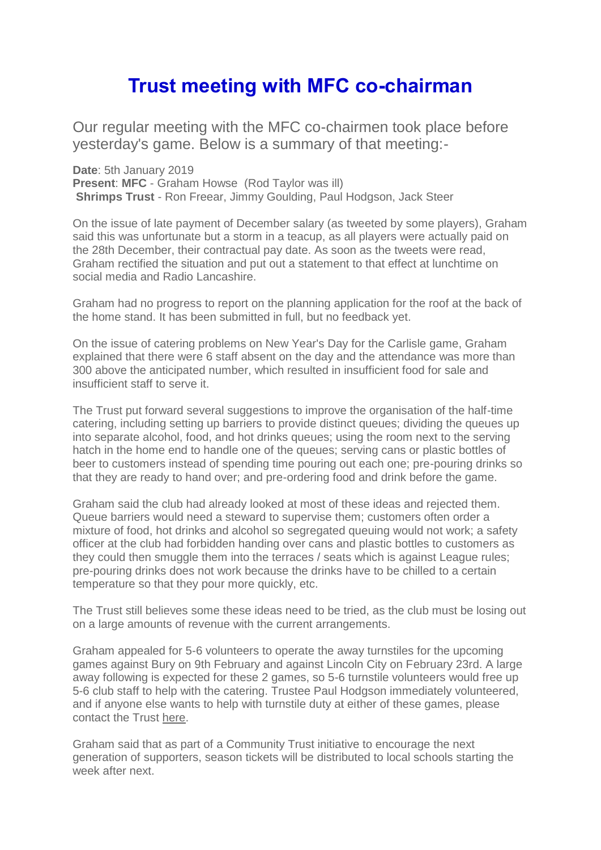## **Trust meeting with MFC co-chairman**

Our regular meeting with the MFC co-chairmen took place before yesterday's game. Below is a summary of that meeting:-

**Date**: 5th January 2019 **Present**: **MFC** - Graham Howse (Rod Taylor was ill) **Shrimps Trust** - Ron Freear, Jimmy Goulding, Paul Hodgson, Jack Steer

On the issue of late payment of December salary (as tweeted by some players), Graham said this was unfortunate but a storm in a teacup, as all players were actually paid on the 28th December, their contractual pay date. As soon as the tweets were read, Graham rectified the situation and put out a statement to that effect at lunchtime on social media and Radio Lancashire.

Graham had no progress to report on the planning application for the roof at the back of the home stand. It has been submitted in full, but no feedback yet.

On the issue of catering problems on New Year's Day for the Carlisle game, Graham explained that there were 6 staff absent on the day and the attendance was more than 300 above the anticipated number, which resulted in insufficient food for sale and insufficient staff to serve it.

The Trust put forward several suggestions to improve the organisation of the half-time catering, including setting up barriers to provide distinct queues; dividing the queues up into separate alcohol, food, and hot drinks queues; using the room next to the serving hatch in the home end to handle one of the queues; serving cans or plastic bottles of beer to customers instead of spending time pouring out each one; pre-pouring drinks so that they are ready to hand over; and pre-ordering food and drink before the game.

Graham said the club had already looked at most of these ideas and rejected them. Queue barriers would need a steward to supervise them; customers often order a mixture of food, hot drinks and alcohol so segregated queuing would not work; a safety officer at the club had forbidden handing over cans and plastic bottles to customers as they could then smuggle them into the terraces / seats which is against League rules; pre-pouring drinks does not work because the drinks have to be chilled to a certain temperature so that they pour more quickly, etc.

The Trust still believes some these ideas need to be tried, as the club must be losing out on a large amounts of revenue with the current arrangements.

Graham appealed for 5-6 volunteers to operate the away turnstiles for the upcoming games against Bury on 9th February and against Lincoln City on February 23rd. A large away following is expected for these 2 games, so 5-6 turnstile volunteers would free up 5-6 club staff to help with the catering. Trustee Paul Hodgson immediately volunteered, and if anyone else wants to help with turnstile duty at either of these games, please contact the Trust [here.](mailto:shrimpstrust@gmail.com?subject=Turnstile%20volunteer&body=Hello%20Shrimps%20Trust!%0AI(%20would%20like%20to%20volunteer%20to%20operate%20an%20away%20turnstile%20for%20the%20following%20game(s)%3A%20Bury%20on%20February%209th%3B%20Lincoln%20City%20on%20February%2023rd.%0A%0AMy%20contact%20details%20are%20as%20follows%3A-)

Graham said that as part of a Community Trust initiative to encourage the next generation of supporters, season tickets will be distributed to local schools starting the week after next.